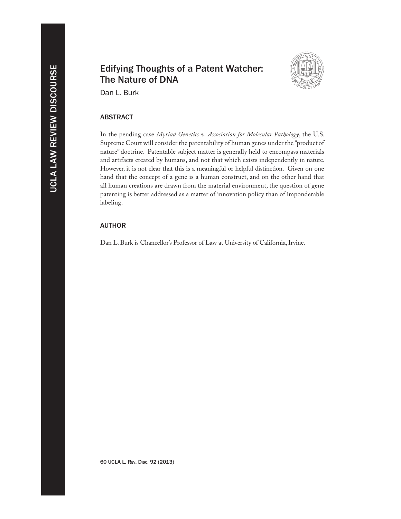# Edifying Thoughts of a Patent Watcher: The Nature of DNA



Dan L. Burk

# **ABSTRACT**

In the pending case *Myriad Genetics v. Association for Molecular Pathology*, the U.S. Supreme Court will consider the patentability of human genes under the "product of nature" doctrine. Patentable subject matter is generally held to encompass materials and artifacts created by humans, and not that which exists independently in nature. However, it is not clear that this is a meaningful or helpful distinction. Given on one hand that the concept of a gene is a human construct, and on the other hand that all human creations are drawn from the material environment, the question of gene patenting is better addressed as a matter of innovation policy than of imponderable labeling.

## **AUTHOR**

Dan L. Burk is Chancellor's Professor of Law at University of California, Irvine.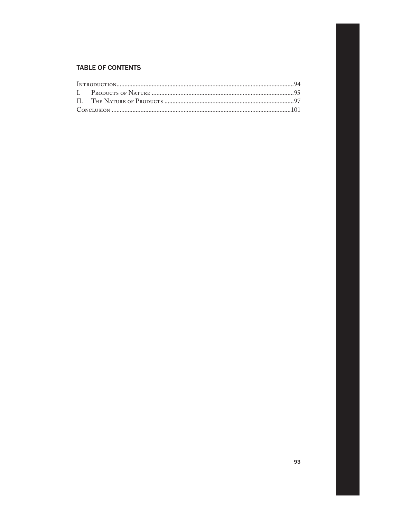## **TABLE OF CONTENTS**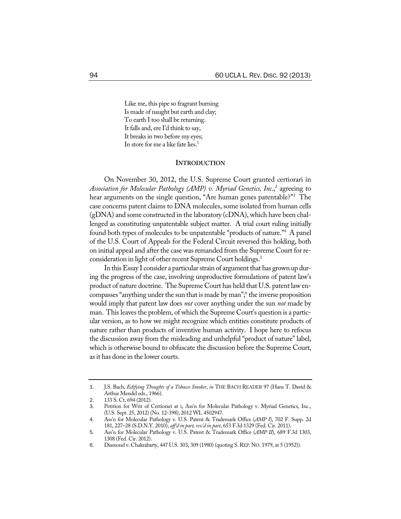Like me, this pipe so fragrant burning Is made of naught but earth and clay; To earth I too shall be returning. It falls and, ere I'd think to say, It breaks in two before my eyes; In store for me a like fate lies.<sup>1</sup>

#### **INTRODUCTION**

On November 30, 2012, the U.S. Supreme Court granted certiorari in *Association for Molecular Pathology (AMP) v. Myriad Genetics, Inc*.,2 agreeing to hear arguments on the single question, "Are human genes patentable?"3 The case concerns patent claims to DNA molecules, some isolated from human cells (gDNA) and some constructed in the laboratory (cDNA), which have been challenged as constituting unpatentable subject matter. A trial court ruling initially found both types of molecules to be unpatentable "products of nature."<sup>4</sup> A panel of the U.S. Court of Appeals for the Federal Circuit reversed this holding, both on initial appeal and after the case was remanded from the Supreme Court for reconsideration in light of other recent Supreme Court holdings.<sup>5</sup>

In this Essay I consider a particular strain of argument that has grown up during the progress of the case, involving unproductive formulations of patent law's product of nature doctrine. The Supreme Court has held that U.S. patent law encompasses"anything under the sun that is made by man";6 the inverse proposition would imply that patent law does *not* cover anything under the sun *not* made by man. This leaves the problem, of which the Supreme Court's question is a particular version, as to how we might recognize which entities constitute products of nature rather than products of inventive human activity. I hope here to refocus the discussion away from the misleading and unhelpful "product of nature" label, which is otherwise bound to obfuscate the discussion before the Supreme Court, asit has done in the lower courts.

<sup>1</sup>. J.S. Bach, *Edifying Thoughts of a Tobacco Smoker*, *in* THE BACH READER 97 (Hans T. David & Arthur Mendel eds., 1966).

<sup>2</sup>. 133 S. Ct. 694 (2012).

<sup>3</sup>. Petition for Writ of Certiorari at i, Ass'n for Molecular Pathology v. Myriad Genetics, Inc., (U.S. Sept. 25, 2012) (No. 12-398), 2012 WL 4502947.

<sup>4</sup>. Ass'n for Molecular Pathology v. U.S. Patent & Trademark Office (*AMP I*), 702 F. Supp. 2d 181, 227–28 (S.D.N.Y. 2010), *aff'd in part, rev'd in part*, 653 F.3d 1329 (Fed. Cir. 2011).

<sup>5</sup>. Ass'n for Molecular Pathology v. U.S. Patent & Trademark Office (*AMP II*), 689 F.3d 1303, 1308 (Fed. Cir. 2012).

<sup>6</sup>. Diamond v. Chakrabarty, 447 U.S. 303, 309 (1980) (quoting S.REP.NO. 1979, at 5 (1952)).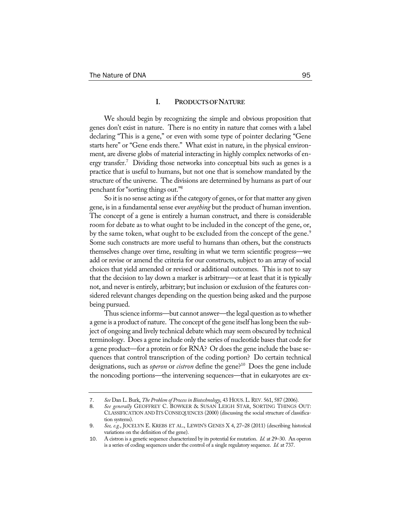## **I. PRODUCTSOFNATURE**

We should begin by recognizing the simple and obvious proposition that genes don't exist in nature. There is no entity in nature that comes with a label declaring "This is a gene," or even with some type of pointer declaring "Gene starts here" or "Gene ends there." What exist in nature, in the physical environment, are diverse globs of material interacting in highly complex networks of energy transfer.<sup>7</sup> Dividing those networks into conceptual bits such as genes is a practice that is useful to humans, but not one that is somehow mandated by the structure of the universe. The divisions are determined by humans as part of our penchant for"sorting things out."8

So it is no sense acting as if the category of genes, or for that matter any given gene, is in a fundamental sense ever *anything* but the product of human invention. The concept of a gene is entirely a human construct, and there is considerable room for debate as to what ought to be included in the concept of the gene, or, by the same token, what ought to be excluded from the concept of the gene. $^9$ Some such constructs are more useful to humans than others, but the constructs themselves change over time, resulting in what we term scientific progress—we add or revise or amend the criteria for our constructs, subject to an array of social choices that yield amended or revised or additional outcomes. This is not to say that the decision to lay down a marker is arbitrary—or at least that it is typically not, and never is entirely, arbitrary; but inclusion or exclusion of the features considered relevant changes depending on the question being asked and the purpose being pursued.

Thus science informs—but cannot answer—the legal question as to whether a gene is a product of nature. The concept of the gene itself haslong been the subject of ongoing and lively technical debate which may seem obscured by technical terminology. Does a gene include only the series of nucleotide bases that code for a gene product—for a protein or for RNA? Or does the gene include the base sequences that control transcription of the coding portion? Do certain technical designations, such as *operon* or *cistron* define the gene?10 Does the gene include the noncoding portions—the intervening sequences—that in eukaryotes are ex-

<sup>7</sup>. *See* Dan L. Burk, *The Problem of Process in Biotechnology*, 43 HOUS.L.REV. 561, 587 (2006).

<sup>8</sup>. *See generally* GEOFFREY C. BOWKER & SUSAN LEIGH STAR, SORTING THINGS OUT: CLASSIFICATION AND ITS CONSEQUENCES (2000) (discussing the social structure of classification systems).

<sup>9</sup>. *See, e.g.*, JOCELYN E. KREBS ET AL., LEWIN'S GENES X 4, 27–28 (2011) (describing historical variations on the definition of the gene).

<sup>10</sup>. A cistron is a genetic sequence characterized by its potential for mutation. *Id.* at 29–30. An operon is a series of coding sequences under the control of a single regulatory sequence. *Id.* at 737.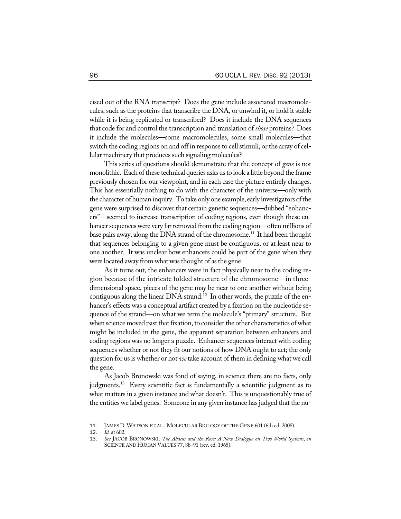cised out of the RNA transcript? Does the gene include associated macromolecules, such as the proteins that transcribe the DNA, or unwind it, or hold it stable while it is being replicated or transcribed? Does it include the DNA sequences that code for and control the transcription and translation of *those* proteins?Does it include the molecules—some macromolecules, some small molecules—that switch the coding regions on and off in response to cell stimuli, or the array of cellular machinery that produces such signaling molecules?

This series of questions should demonstrate that the concept of *gene* is not monolithic. Each of these technical queries asks us to look a little beyond the frame previously chosen for our viewpoint, and in each case the picture entirely changes. This has essentially nothing to do with the character of the universe—only with the character of human inquiry. To take only one example, early investigators ofthe gene were surprised to discover that certain genetic sequences—dubbed "enhancers"—seemed to increase transcription of coding regions, even though these enhancer sequences were very far removed from the coding region—often millions of base pairs away, along the DNA strand of the chromosome.<sup>11</sup> It had been thought that sequences belonging to a given gene must be contiguous, or at least near to one another. It was unclear how enhancers could be part of the gene when they were located away from what was thought of as the gene.

As it turns out, the enhancers were in fact physically near to the coding region because of the intricate folded structure of the chromosome—in threedimensional space, pieces of the gene may be near to one another without being contiguous along the linear DNA strand.<sup>12</sup> In other words, the puzzle of the enhancer's effects was a conceptual artifact created by a fixation on the nucleotide sequence of the strand—on what we term the molecule's "primary" structure. But when science moved past that fixation, to consider the other characteristics of what might be included in the gene, the apparent separation between enhancers and coding regions was no longer a puzzle. Enhancer sequences interact with coding sequences whether or not they fit our notions of how DNA ought to act; the only question for us is whether or not *we* take account of them in defining what we call the gene.

As Jacob Bronowski was fond of saying, in science there are no facts, only judgments.<sup>13</sup> Every scientific fact is fundamentally a scientific judgment as to what matters in a given instance and what doesn't. This is unquestionably true of the entities we label genes. Someone in any given instance hasjudged that the nu-

<sup>11</sup>. JAMES D.WATSON ET AL., MOLECULAR BIOLOGY OF THE GENE 601 (6th ed. 2008).

<sup>12</sup>. *Id.* at 602.

<sup>13</sup>. *See* JACOB BRONOWSKI, *The Abacus and the Rose: A New Dialogue on Two World Systems*, *in*  SCIENCE AND HUMAN VALUES 77, 88–91 (rev. ed. 1965).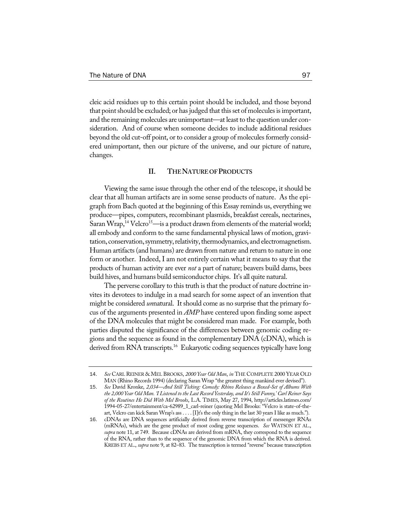cleic acid residues up to this certain point should be included, and those beyond that point should be excluded; or has judged that this set of molecules is important, and the remaining molecules are unimportant—at least to the question under consideration. And of course when someone decides to include additional residues beyond the old cut-off point, or to consider a group of molecules formerly considered unimportant, then our picture of the universe, and our picture of nature, changes.

#### **II. THENATUREOFPRODUCTS**

Viewing the same issue through the other end of the telescope, it should be clear that all human artifacts are in some sense products of nature. As the epigraph from Bach quoted at the beginning of this Essay reminds us, everything we produce—pipes, computers, recombinant plasmids, breakfast cereals, nectarines, Saran Wrap,<sup>14</sup> Velcro<sup>15</sup>—is a product drawn from elements of the material world; all embody and conform to the same fundamental physical laws of motion, gravitation, conservation, symmetry, relativity, thermodynamics, and electromagnetism. Human artifacts (and humans) are drawn from nature and return to nature in one form or another. Indeed, I am not entirely certain what it means to say that the products of human activity are ever *not* a part of nature; beavers build dams, bees build hives, and humans build semiconductor chips. It's all quite natural.

The perverse corollary to this truth is that the product of nature doctrine invites its devotees to indulge in a mad search for some aspect of an invention that might be considered *un*natural. It should come as no surprise that the primary focus of the arguments presented in *AMP* have centered upon finding some aspect of the DNA molecules that might be considered man made. For example, both parties disputed the significance of the differences between genomic coding regions and the sequence as found in the complementary DNA (cDNA), which is derived from RNA transcripts.<sup>16</sup> Eukaryotic coding sequences typically have long

<sup>14</sup>. *See* CARL REINER & MEL BROOKS, *2000 Year Old Man*, *in* THE COMPLETE 2000 YEAR OLD MAN (Rhino Records 1994) (declaring Saran Wrap "the greatest thing mankind ever devised").

<sup>15</sup>. *See* David Kronke, *2,034—And Still Ticking: Comedy: Rhino Releases a Boxed-Set of Albums With the 2,000 Year Old Man. 'I Listened to the Last Record Yesterday, and It's Still Funny,' Carl Reiner Says of the Routines He Did With Mel Brooks*, L.A. TIMES, May 27, 1994, http://articles.latimes.com/ 1994-05-27/entertainment/ca-62989\_1\_carl-reiner (quoting Mel Brooks: "Velcro is state-of-theart, Velcro can kick Saran Wrap's ass . . . . [I]t's the only thing in the last 30 years I like as much.").

<sup>16</sup>. cDNAs are DNA sequences artificially derived from reverse transcription of messenger RNAs (mRNAs), which are the gene product of most coding gene sequences. *See* WATSON ET AL., *supra* note 11, at 749. Because cDNAs are derived from mRNA, they correspond to the sequence of the RNA, rather than to the sequence of the genomic DNA from which the RNA is derived. KREBS ET AL., *supra* note 9, at 82–83. The transcription is termed "reverse" because transcription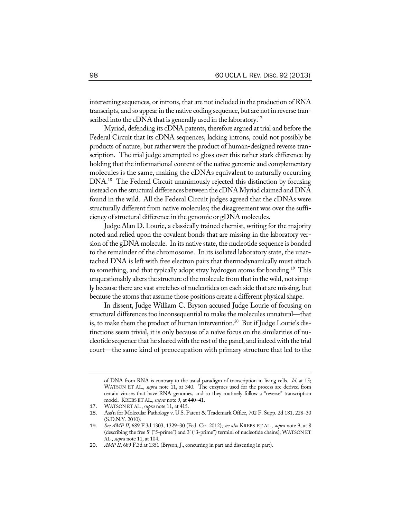intervening sequences, or introns, that are not included in the production of RNA transcripts, and so appearin the native coding sequence, but are notin reverse transcribed into the cDNA that is generally used in the laboratory.<sup>17</sup>

Myriad, defending its cDNA patents, therefore argued at trial and before the Federal Circuit that its cDNA sequences, lacking introns, could not possibly be products of nature, but rather were the product of human-designed reverse transcription. The trial judge attempted to gloss over this rather stark difference by holding that the informational content of the native genomic and complementary molecules is the same, making the cDNAs equivalent to naturally occurring DNA.18 The Federal Circuit unanimously rejected this distinction by focusing instead on the structural differences between the cDNAMyriad claimed and DNA found in the wild. All the Federal Circuit judges agreed that the cDNAs were structurally different from native molecules; the disagreement was over the sufficiency of structural difference in the genomic or  $gDNA$  molecules.

Judge Alan D. Lourie, a classically trained chemist, writing for the majority noted and relied upon the covalent bonds that are missing in the laboratory version of the gDNA molecule. In its native state, the nucleotide sequence is bonded to the remainder of the chromosome. In its isolated laboratory state, the unattached DNA is left with free electron pairs that thermodynamically must attach to something, and that typically adopt stray hydrogen atoms for bonding.<sup>19</sup> This unquestionably alters the structure of the molecule from that in the wild, not simply because there are vast stretches of nucleotides on each side that are missing, but because the atoms that assume those positions create a different physical shape.

In dissent, Judge William C. Bryson accused Judge Lourie of focusing on structural differences too inconsequential to make the molecules unnatural—that is, to make them the product of human intervention.<sup>20</sup> But if Judge Lourie's distinctions seem trivial, it is only because of a naïve focus on the similarities of nucleotide sequence that he sharedwith the rest of the panel, and indeedwith the trial court—the same kind of preoccupation with primary structure that led to the

of DNA from RNA is contrary to the usual paradigm of transcription in living cells. *Id.* at 15; WATSON ET AL., *supra* note 11, at 340. The enzymes used for the process are derived from certain viruses that have RNA genomes, and so they routinely follow a "reverse" transcription model. KREBS ET AL., *supra* note 9, at 440–41.

<sup>17</sup>. WATSON ET AL., *supra* note 11, at 415.

<sup>18</sup>. Ass'n for Molecular Pathology v. U.S. Patent & Trademark Office, 702 F. Supp. 2d 181, 228–30 (S.D.N.Y. 2010).

<sup>19</sup>. *See AMP II*, 689 F.3d 1303, 1329–30 (Fed. Cir. 2012); *see also* KREBS ET AL., *supra* note 9, at 8 (describing the free 5' ("5-prime") and 3' ("3-prime") termini of nucleotide chains); WATSON ET AL., *supra* note 11, at 104.

<sup>20</sup>. *AMP II*, 689 F.3d at 1351 (Bryson, J., concurring in part and dissenting in part).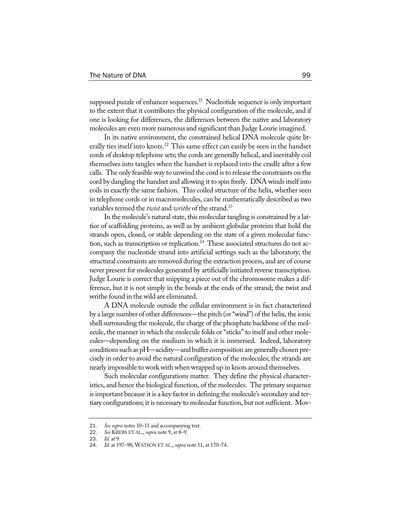supposed puzzle of enhancer sequences.<sup>21</sup> Nucleotide sequence is only important to the extent that it contributes the physical configuration of the molecule, and if one is looking for differences, the differences between the native and laboratory molecules are even more numerous and significant than Judge Lourie imagined.

In its native environment, the constrained helical DNA molecule quite literally ties itself into knots.<sup>22</sup> This same effect can easily be seen in the handset cords of desktop telephone sets; the cords are generally helical, and inevitably coil themselves into tangles when the handset is replaced into the cradle after a few calls. The only feasible way to unwind the cord is to release the constraints on the cord by dangling the handset and allowing it to spin freely. DNA winds itself into coils in exactly the same fashion. This coiled structure of the helix, whether seen in telephone cords or in macromolecules, can be mathematically described as two variables termed the *twist* and *writhe* of the strand.23

In the molecule's natural state, this molecular tangling is constrained by a lattice of scaffolding proteins, as well as by ambient globular proteins that hold the strands open, closed, or stable depending on the state of a given molecular function, such as transcription or replication.<sup>24</sup> These associated structures do not accompany the nucleotide strand into artificial settings such as the laboratory; the structural constraints are removed during the extraction process, and are of course never present for molecules generated by artificially initiated reverse transcription. Judge Lourie is correct that snipping a piece out of the chromosome makes a difference, but it is not simply in the bonds at the ends of the strand; the twist and writhe found in the wild are eliminated.

A DNA molecule outside the cellular environment is in fact characterized by a large number of other differences—the pitch (or"wind") of the helix, the ionic shell surrounding the molecule, the charge of the phosphate backbone of the molecule, the manner in which the molecule folds or "sticks" to itself and other molecules—depending on the medium in which it is immersed. Indeed, laboratory conditions such as pH—acidity—and buffer composition are generally chosen precisely in order to avoid the natural configuration of the molecules; the strands are nearly impossible to work with when wrapped up in knots around themselves.

Such molecular configurations matter. They define the physical characteristics, and hence the biological function, of the molecules. The primary sequence is important because it is a key factor in defining the molecule's secondary and tertiary configurations; it is necessary to molecular function, but not sufficient. Mov-

<sup>21</sup>. *See supra* notes 10–11 and accompanying text.

<sup>22</sup>. *See* KREBS ET AL., *supra* note 9, at 8–9.

<sup>23</sup>. *Id.* at 9.

<sup>24</sup>. *Id.* at 197–98; WATSON ET AL., *supra* note 11, at 170–74.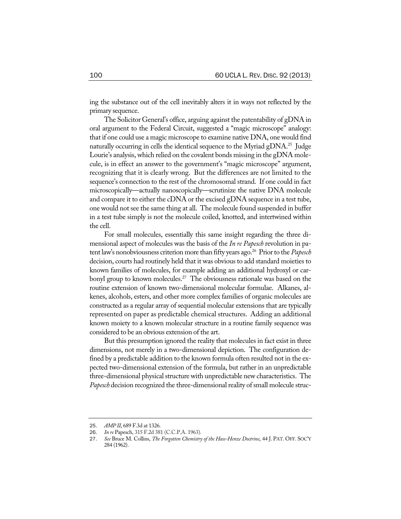ing the substance out of the cell inevitably alters it in ways not reflected by the primary sequence.

The Solicitor General's office, arguing against the patentability of gDNA in oral argument to the Federal Circuit, suggested a "magic microscope" analogy: that if one could use a magic microscope to examine native DNA, one would find naturally occurring in cells the identical sequence to the Myriad gDNA.<sup>25</sup> Judge Lourie's analysis, which relied on the covalent bonds missing in the gDNA molecule, is in effect an answer to the government's "magic microscope" argument, recognizing that it is clearly wrong. But the differences are not limited to the sequence's connection to the rest of the chromosomal strand. If one could in fact microscopically—actually nanoscopically—scrutinize the native DNA molecule and compare it to either the cDNA or the excised gDNA sequence in a test tube, one would not see the same thing at all. The molecule found suspended in buffer in a test tube simply is not the molecule coiled, knotted, and intertwined within the cell.

For small molecules, essentially this same insight regarding the three dimensional aspect of molecules was the basis of the *In re Papesch* revolution in patentlaw's nonobviousness criterion more than fifty years ago.26 Priorto the *Papesch* decision, courts had routinely held that it was obvious to add standard moieties to known families of molecules, for example adding an additional hydroxyl or carbonyl group to known molecules.<sup>27</sup> The obviousness rationale was based on the routine extension of known two-dimensional molecular formulae. Alkanes, alkenes, alcohols, esters, and other more complex families of organic molecules are constructed as a regular array of sequential molecular extensions that are typically represented on paper as predictable chemical structures. Adding an additional known moiety to a known molecular structure in a routine family sequence was considered to be an obvious extension of the art.

But this presumption ignored the reality that molecules in fact exist in three dimensions, not merely in a two-dimensional depiction. The configuration defined by a predictable addition to the known formula often resulted not in the expected two-dimensional extension of the formula, but rather in an unpredictable three-dimensional physical structure with unpredictable new characteristics. The *Papesch* decision recognized the three-dimensional reality of small molecule struc-

<sup>25.</sup> *AMP II*, 689 F.3d at 1326.<br>26. *In re* Papesch, 315 F.2d 38 26. *In re* Papesch, 315 F.2d 381 (C.C.P.A. 1963).

<sup>27</sup>. *See* Bruce M. Collins, *The Forgotten Chemistry of the Hass-Henze Doctrine*, 44 J. PAT. OFF. SOC'Y 284 (1962).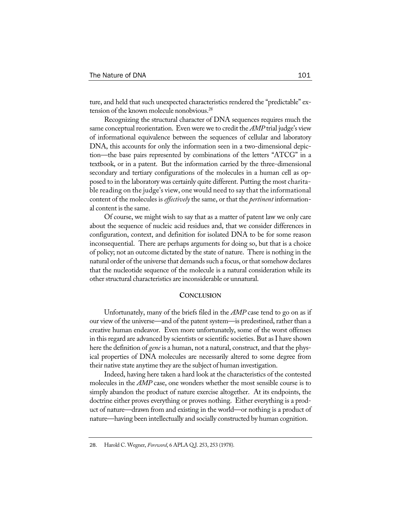ture, and held that such unexpected characteristics rendered the "predictable" extension of the known molecule nonobvious.28

Recognizing the structural character of DNA sequences requires much the same conceptual reorientation. Even were we to credit the *AMP* trial judge's view of informational equivalence between the sequences of cellular and laboratory DNA, this accounts for only the information seen in a two-dimensional depiction—the base pairs represented by combinations of the letters "ATCG" in a textbook, or in a patent. But the information carried by the three-dimensional secondary and tertiary configurations of the molecules in a human cell as opposed to in the laboratory was certainly quite different. Putting the most charitable reading on the judge's view, one would need to say that the informational content of the molecules is *effectively* the same, or that the *pertinent* informational content is the same.

Of course, we might wish to say that as a matter of patent law we only care about the sequence of nucleic acid residues and, that we consider differences in configuration, context, and definition for isolated DNA to be for some reason inconsequential. There are perhaps arguments for doing so, but that is a choice of policy; not an outcome dictated by the state of nature. There is nothing in the natural order of the universe that demands such a focus, or that somehow declares that the nucleotide sequence of the molecule is a natural consideration while its other structural characteristics are inconsiderable or unnatural.

#### **CONCLUSION**

Unfortunately, many of the briefs filed in the *AMP* case tend to go on as if our view of the universe—and of the patent system—is predestined, rather than a creative human endeavor. Even more unfortunately, some of the worst offenses in this regard are advanced by scientists or scientific societies. But as I have shown here the definition of *gene* is a human, not a natural, construct, and that the physical properties of DNA molecules are necessarily altered to some degree from their native state anytime they are the subject of human investigation.

Indeed, having here taken a hard look at the characteristics of the contested molecules in the *AMP* case, one wonders whether the most sensible course is to simply abandon the product of nature exercise altogether. At its endpoints, the doctrine either proves everything or proves nothing. Either everything is a product of nature—drawn from and existing in the world—or nothing is a product of nature—having been intellectually and socially constructed by human cognition.

<sup>28</sup>. Harold C. Wegner, *Foreword*, 6 APLA Q.J. 253, 253 (1978).